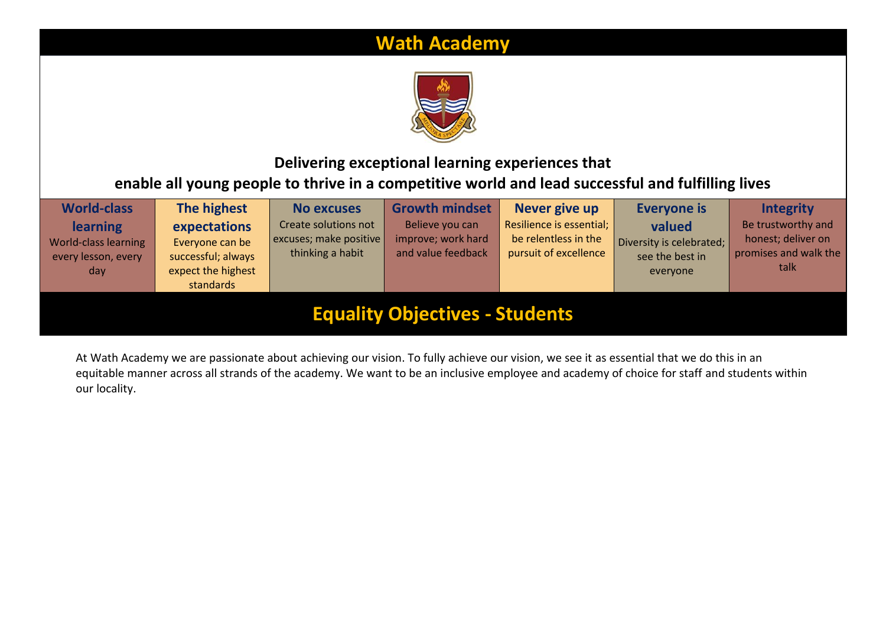# **Wath Academy**



## **Delivering exceptional learning experiences that enable all young people to thrive in a competitive world and lead successful and fulfilling lives**

| <b>World-class</b><br>The highest<br><b>Growth mindset</b><br>Never give up<br><b>Everyone is</b><br><b>Integrity</b><br><b>No excuses</b> |                                                                                                                                                                                                                                                                                                                                                                                 |  |  |  |  |                                                                           |  |  |
|--------------------------------------------------------------------------------------------------------------------------------------------|---------------------------------------------------------------------------------------------------------------------------------------------------------------------------------------------------------------------------------------------------------------------------------------------------------------------------------------------------------------------------------|--|--|--|--|---------------------------------------------------------------------------|--|--|
| <b>learning</b><br>World-class learning<br>every lesson, every<br>day                                                                      | Resilience is essential;<br>Create solutions not<br>Believe you can<br>valued<br>expectations<br>improve; work hard<br>be relentless in the<br>excuses; make positive<br>Diversity is celebrated;<br>Everyone can be<br>and value feedback<br>thinking a habit<br>pursuit of excellence<br>see the best in<br>successful; always<br>expect the highest<br>everyone<br>standards |  |  |  |  | Be trustworthy and<br>honest; deliver on<br>promises and walk the<br>talk |  |  |
| <b>Equality Objectives - Students</b>                                                                                                      |                                                                                                                                                                                                                                                                                                                                                                                 |  |  |  |  |                                                                           |  |  |

At Wath Academy we are passionate about achieving our vision. To fully achieve our vision, we see it as essential that we do this in an equitable manner across all strands of the academy. We want to be an inclusive employee and academy of choice for staff and students within our locality.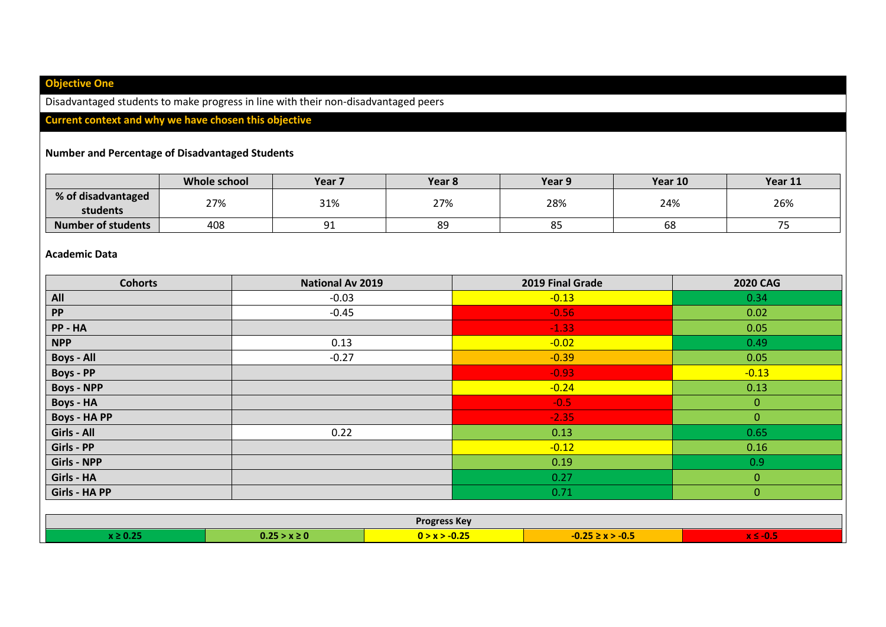## **Objective One**

Disadvantaged students to make progress in line with their non-disadvantaged peers

### **Current context and why we have chosen this objective**

#### **Number and Percentage of Disadvantaged Students**

|                                | Whole school | Year 7            | Year <sub>8</sub> | Year 9 | Year 10 | Year 11                         |
|--------------------------------|--------------|-------------------|-------------------|--------|---------|---------------------------------|
| % of disadvantaged<br>students | 27%          | 31%               | 27%               | 28%    | 24%     | 26%                             |
| <b>Number of students</b>      | 408          | n.<br><u>J + </u> | 89                | oɔ     | 68      | $\overline{\phantom{a}}$<br>. J |

#### **Academic Data**

| <b>Cohorts</b><br>2019 Final Grade<br><b>National Av 2019</b><br><b>2020 CAG</b> |                                                                             |                     |                      |                |  |  |  |  |
|----------------------------------------------------------------------------------|-----------------------------------------------------------------------------|---------------------|----------------------|----------------|--|--|--|--|
| All                                                                              | $-0.03$                                                                     |                     | $-0.13$              | 0.34           |  |  |  |  |
| <b>PP</b>                                                                        | $-0.45$                                                                     |                     | $-0.56$              | 0.02           |  |  |  |  |
| PP-HA                                                                            |                                                                             |                     | $-1.33$              | 0.05           |  |  |  |  |
| <b>NPP</b>                                                                       | 0.13                                                                        |                     | $-0.02$              | 0.49           |  |  |  |  |
| <b>Boys - All</b>                                                                | $-0.27$                                                                     |                     | $-0.39$              | 0.05           |  |  |  |  |
| <b>Boys - PP</b>                                                                 |                                                                             |                     | $-0.93$              | $-0.13$        |  |  |  |  |
| <b>Boys - NPP</b>                                                                |                                                                             |                     | $-0.24$              | 0.13           |  |  |  |  |
| <b>Boys - HA</b>                                                                 |                                                                             |                     | $-0.5$               | $\mathbf{0}$   |  |  |  |  |
| <b>Boys - HA PP</b>                                                              |                                                                             |                     | $-2.35$              | $\overline{0}$ |  |  |  |  |
| Girls - All                                                                      | 0.22                                                                        |                     | 0.13                 | 0.65           |  |  |  |  |
| Girls - PP                                                                       |                                                                             |                     | $-0.12$              | 0.16           |  |  |  |  |
| <b>Girls - NPP</b>                                                               |                                                                             |                     | 0.19                 | 0.9            |  |  |  |  |
| Girls - HA                                                                       |                                                                             |                     | $\mathbf{0}$<br>0.27 |                |  |  |  |  |
| Girls - HA PP                                                                    |                                                                             |                     | 0.71                 | $\mathbf{0}$   |  |  |  |  |
|                                                                                  |                                                                             |                     |                      |                |  |  |  |  |
|                                                                                  |                                                                             | <b>Progress Key</b> |                      |                |  |  |  |  |
| $x \geq 0.25$                                                                    | $0.25 > x \ge 0$<br>$0 > x > -0.25$<br>$-0.25 \ge x > -0.5$<br>$x \le -0.5$ |                     |                      |                |  |  |  |  |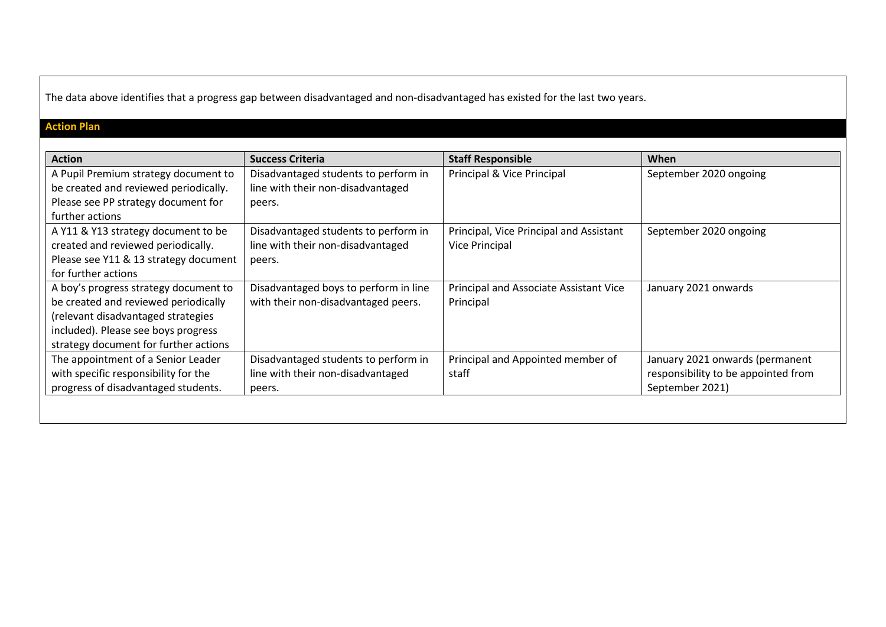The data above identifies that a progress gap between disadvantaged and non-disadvantaged has existed for the last two years.

## **Action Plan**

| <b>Action</b>                         | <b>Success Criteria</b>               | <b>Staff Responsible</b>                | When                                |
|---------------------------------------|---------------------------------------|-----------------------------------------|-------------------------------------|
| A Pupil Premium strategy document to  | Disadvantaged students to perform in  | Principal & Vice Principal              | September 2020 ongoing              |
| be created and reviewed periodically. | line with their non-disadvantaged     |                                         |                                     |
| Please see PP strategy document for   | peers.                                |                                         |                                     |
| further actions                       |                                       |                                         |                                     |
| A Y11 & Y13 strategy document to be   | Disadvantaged students to perform in  | Principal, Vice Principal and Assistant | September 2020 ongoing              |
| created and reviewed periodically.    | line with their non-disadvantaged     | Vice Principal                          |                                     |
| Please see Y11 & 13 strategy document | peers.                                |                                         |                                     |
| for further actions                   |                                       |                                         |                                     |
| A boy's progress strategy document to | Disadvantaged boys to perform in line | Principal and Associate Assistant Vice  | January 2021 onwards                |
| be created and reviewed periodically  | with their non-disadvantaged peers.   | Principal                               |                                     |
| (relevant disadvantaged strategies    |                                       |                                         |                                     |
| included). Please see boys progress   |                                       |                                         |                                     |
| strategy document for further actions |                                       |                                         |                                     |
| The appointment of a Senior Leader    | Disadvantaged students to perform in  | Principal and Appointed member of       | January 2021 onwards (permanent     |
| with specific responsibility for the  | line with their non-disadvantaged     | staff                                   | responsibility to be appointed from |
| progress of disadvantaged students.   | peers.                                |                                         | September 2021)                     |
|                                       |                                       |                                         |                                     |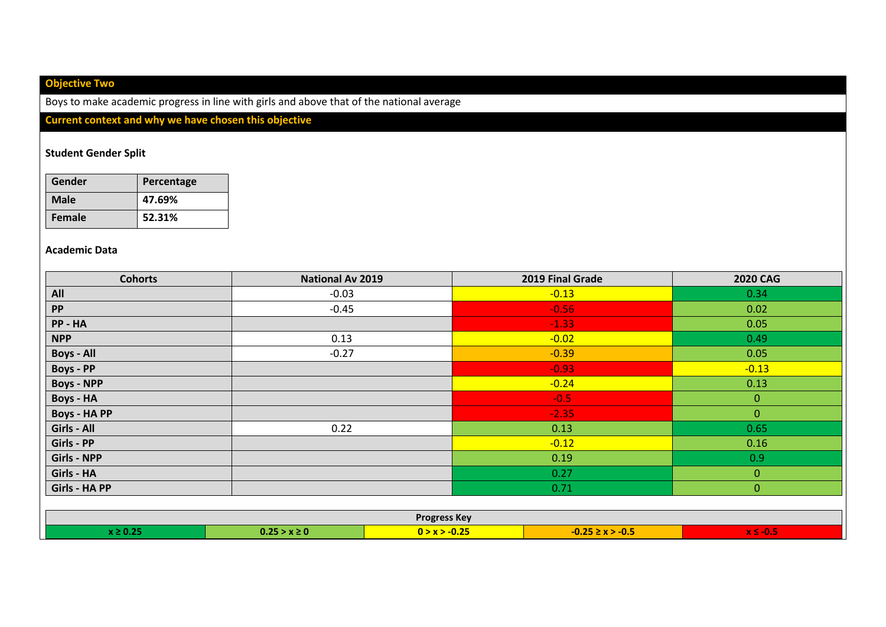## **Objective Two**

Boys to make academic progress in line with girls and above that of the national average

## **Current context and why we have chosen this objective**

#### **Student Gender Split**

| Gender | Percentage |
|--------|------------|
| Male   | 47.69%     |
| Female | 52.31%     |

#### **Academic Data**

| <b>Cohorts</b>      | <b>National Av 2019</b>                                                     |                     | 2019 Final Grade | <b>2020 CAG</b> |  |  |  |
|---------------------|-----------------------------------------------------------------------------|---------------------|------------------|-----------------|--|--|--|
| All                 | $-0.03$                                                                     |                     | $-0.13$          | 0.34            |  |  |  |
| PP                  | $-0.45$                                                                     |                     | $-0.56$          | 0.02            |  |  |  |
| PP - HA             |                                                                             |                     | $-1.33$          | 0.05            |  |  |  |
| <b>NPP</b>          | 0.13                                                                        |                     | $-0.02$          | 0.49            |  |  |  |
| <b>Boys - All</b>   | $-0.27$                                                                     |                     | $-0.39$          | 0.05            |  |  |  |
| <b>Boys - PP</b>    |                                                                             |                     | $-0.93$          | $-0.13$         |  |  |  |
| <b>Boys - NPP</b>   |                                                                             |                     | $-0.24$          | 0.13            |  |  |  |
| <b>Boys - HA</b>    |                                                                             |                     | $-0.5$           | $\mathbf{0}$    |  |  |  |
| <b>Boys - HA PP</b> |                                                                             |                     | $-2.35$          | $\overline{0}$  |  |  |  |
| Girls - All         | 0.22                                                                        |                     | 0.13             | 0.65            |  |  |  |
| Girls - PP          |                                                                             |                     | $-0.12$          | 0.16            |  |  |  |
| <b>Girls - NPP</b>  |                                                                             |                     | 0.19             | 0.9             |  |  |  |
| Girls - HA          |                                                                             |                     | 0.27             | $\overline{0}$  |  |  |  |
| Girls - HA PP       |                                                                             |                     | 0.71             | $\mathbf{0}$    |  |  |  |
|                     |                                                                             |                     |                  |                 |  |  |  |
|                     |                                                                             | <b>Progress Key</b> |                  |                 |  |  |  |
| $x \geq 0.25$       | $0.25 > x \ge 0$<br>$0 > x > -0.25$<br>$-0.25 \ge x > -0.5$<br>$x \le -0.5$ |                     |                  |                 |  |  |  |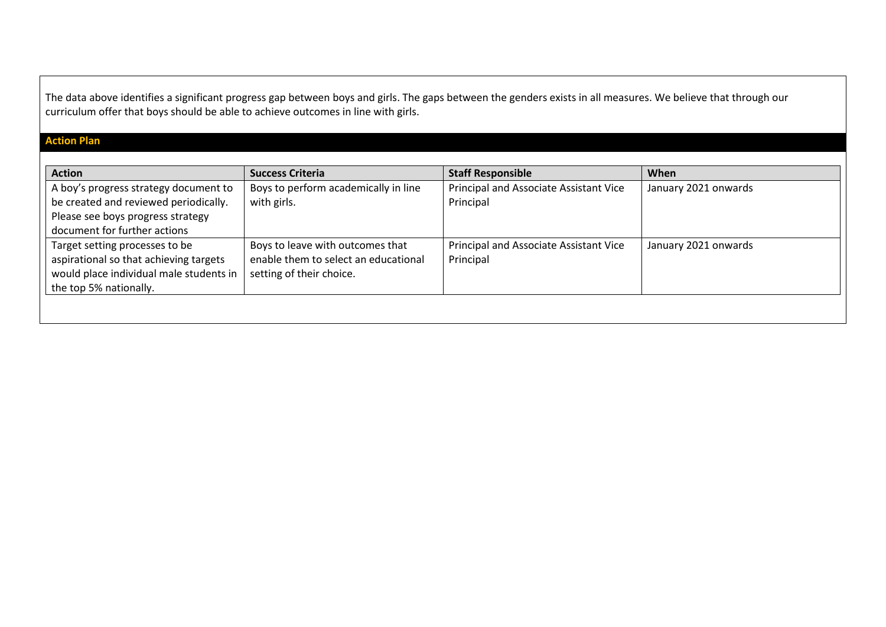The data above identifies a significant progress gap between boys and girls. The gaps between the genders exists in all measures. We believe that through our curriculum offer that boys should be able to achieve outcomes in line with girls.

## **Action Plan**

| Principal and Associate Assistant Vice<br>Boys to perform academically in line<br>A boy's progress strategy document to<br>January 2021 onwards<br>be created and reviewed periodically.<br>with girls.<br>Principal<br>Please see boys progress strategy<br>document for further actions<br>Target setting processes to be<br>Boys to leave with outcomes that<br>Principal and Associate Assistant Vice<br>January 2021 onwards<br>aspirational so that achieving targets<br>enable them to select an educational<br>Principal<br>would place individual male students in<br>setting of their choice. | <b>Action</b> | <b>Success Criteria</b> | <b>Staff Responsible</b> | When |
|---------------------------------------------------------------------------------------------------------------------------------------------------------------------------------------------------------------------------------------------------------------------------------------------------------------------------------------------------------------------------------------------------------------------------------------------------------------------------------------------------------------------------------------------------------------------------------------------------------|---------------|-------------------------|--------------------------|------|
|                                                                                                                                                                                                                                                                                                                                                                                                                                                                                                                                                                                                         |               |                         |                          |      |
| the top 5% nationally.                                                                                                                                                                                                                                                                                                                                                                                                                                                                                                                                                                                  |               |                         |                          |      |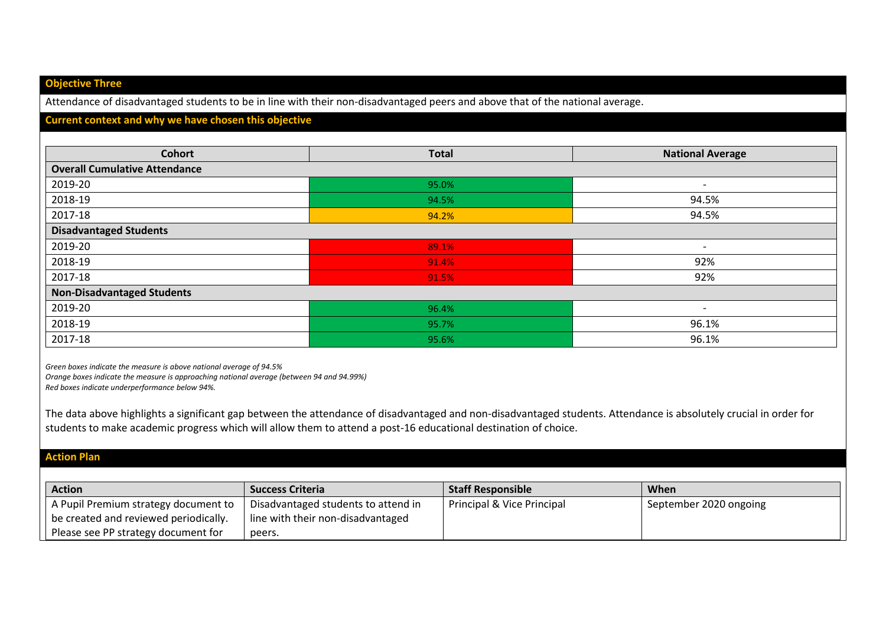#### **Objective Three**

Attendance of disadvantaged students to be in line with their non-disadvantaged peers and above that of the national average.

#### **Current context and why we have chosen this objective**

| <b>Cohort</b>                        | <b>Total</b> | <b>National Average</b>  |
|--------------------------------------|--------------|--------------------------|
| <b>Overall Cumulative Attendance</b> |              |                          |
| 2019-20                              | 95.0%        | $\overline{\phantom{0}}$ |
| 2018-19                              | 94.5%        | 94.5%                    |
| 2017-18                              | 94.2%        | 94.5%                    |
| <b>Disadvantaged Students</b>        |              |                          |
| 2019-20                              | 89.1%        | $\overline{\phantom{a}}$ |
| 2018-19                              | 91.4%        | 92%                      |
| 2017-18                              | 91.5%        | 92%                      |
| <b>Non-Disadvantaged Students</b>    |              |                          |
| 2019-20                              | 96.4%        | $\overline{\phantom{0}}$ |
| 2018-19                              | 95.7%        | 96.1%                    |
| 2017-18                              | 95.6%        | 96.1%                    |

*Green boxes indicate the measure is above national average of 94.5%*

*Orange boxes indicate the measure is approaching national average (between 94 and 94.99%)*

*Red boxes indicate underperformance below 94%.*

The data above highlights a significant gap between the attendance of disadvantaged and non-disadvantaged students. Attendance is absolutely crucial in order for students to make academic progress which will allow them to attend a post-16 educational destination of choice.

#### **Action Plan**

| <b>Action</b>                         | <b>Success Criteria</b>             | <b>Staff Responsible</b>   | <b>When</b>            |
|---------------------------------------|-------------------------------------|----------------------------|------------------------|
| A Pupil Premium strategy document to  | Disadvantaged students to attend in | Principal & Vice Principal | September 2020 ongoing |
| be created and reviewed periodically. | line with their non-disadvantaged   |                            |                        |
| Please see PP strategy document for   | peers.                              |                            |                        |